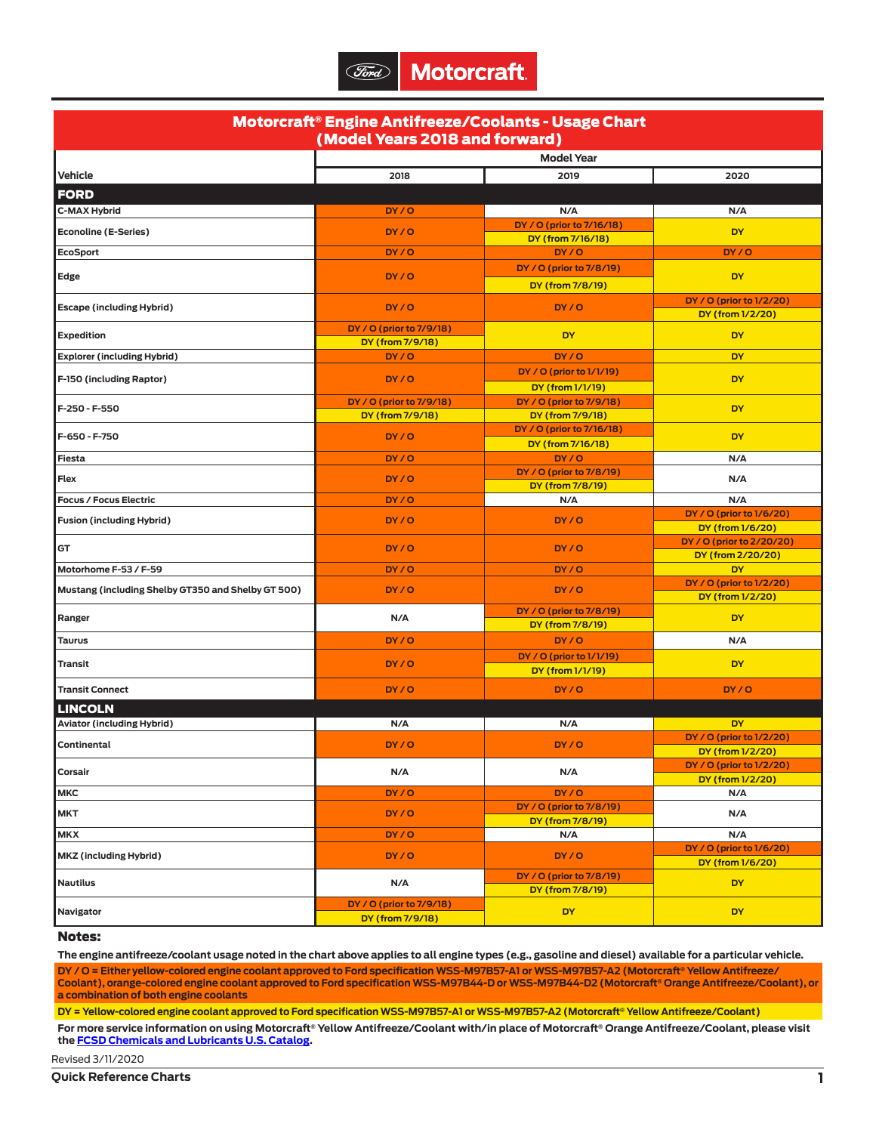| Motorcraft® Engine Antifreeze/Coolants - Usage Chart<br>(Model Years 2018 and forward) |                                              |                                                |                                               |  |  |  |
|----------------------------------------------------------------------------------------|----------------------------------------------|------------------------------------------------|-----------------------------------------------|--|--|--|
|                                                                                        |                                              | <b>Model Year</b>                              |                                               |  |  |  |
| <b>Vehicle</b>                                                                         | 2018                                         | 2019                                           | 2020                                          |  |  |  |
|                                                                                        |                                              |                                                |                                               |  |  |  |
| <b>FORD</b>                                                                            |                                              |                                                |                                               |  |  |  |
| <b>C-MAX Hybrid</b>                                                                    | DY / O                                       | N/A                                            | N/A                                           |  |  |  |
| <b>Econoline (E-Series)</b>                                                            | DY/O                                         | DY / O (prior to 7/16/18)<br>DY (from 7/16/18) | <b>DY</b>                                     |  |  |  |
| <b>EcoSport</b>                                                                        | DY/O                                         | DY/O                                           | DY/O                                          |  |  |  |
|                                                                                        |                                              | DY / O (prior to 7/8/19)                       |                                               |  |  |  |
| Edge                                                                                   | DY/O                                         | DY (from 7/8/19)                               | <b>DY</b>                                     |  |  |  |
|                                                                                        |                                              |                                                | DY / O (prior to 1/2/20)                      |  |  |  |
| <b>Escape (including Hybrid)</b>                                                       | DY/O                                         | DY/O                                           | DY (from 1/2/20)                              |  |  |  |
| <b>Expedition</b>                                                                      | DY / O (prior to 7/9/18)                     | <b>DY</b>                                      | <b>DY</b>                                     |  |  |  |
|                                                                                        | DY (from 7/9/18)                             |                                                |                                               |  |  |  |
| <b>Explorer (including Hybrid)</b>                                                     | DY/O                                         | DY/O                                           | <b>DY</b>                                     |  |  |  |
| F-150 (including Raptor)                                                               | DY/O                                         | DY / O (prior to 1/1/19)                       | <b>DY</b>                                     |  |  |  |
|                                                                                        |                                              | DY (from 1/1/19)                               |                                               |  |  |  |
| F-250 - F-550                                                                          | DY / O (prior to 7/9/18)<br>DY (from 7/9/18) | DY / O (prior to 7/9/18)<br>DY (from 7/9/18)   | <b>DY</b>                                     |  |  |  |
|                                                                                        |                                              | DY / O (prior to 7/16/18)                      |                                               |  |  |  |
| F-650 - F-750                                                                          | DY/O                                         | DY (from 7/16/18)                              | <b>DY</b>                                     |  |  |  |
| Fiesta                                                                                 | DY/O                                         | DY/O                                           | N/A                                           |  |  |  |
| Flex                                                                                   | DY/O                                         | DY / O (prior to 7/8/19)                       | N/A                                           |  |  |  |
|                                                                                        |                                              | DY (from 7/8/19)                               |                                               |  |  |  |
| <b>Focus / Focus Electric</b>                                                          | DY/O                                         | N/A                                            | N/A                                           |  |  |  |
| <b>Fusion (including Hybrid)</b>                                                       | DY/O                                         | DY/O                                           | DY / O (prior to 1/6/20)                      |  |  |  |
|                                                                                        |                                              |                                                | DY (from 1/6/20)<br>DY / O (prior to 2/20/20) |  |  |  |
| GT                                                                                     | DY/O                                         | DY/O                                           | DY (from 2/20/20)                             |  |  |  |
| Motorhome F-53 / F-59                                                                  | DY/0                                         | DY/O                                           | <b>DY</b>                                     |  |  |  |
| Mustang (including Shelby GT350 and Shelby GT 500)                                     | DY/O                                         | DY/O                                           | DY / O (prior to 1/2/20)                      |  |  |  |
|                                                                                        |                                              |                                                | DY (from 1/2/20)                              |  |  |  |
| Ranger                                                                                 | N/A                                          | DY / O (prior to 7/8/19)<br>DY (from 7/8/19)   | <b>DY</b>                                     |  |  |  |
| <b>Taurus</b>                                                                          | DY/O                                         | DY/O                                           | N/A                                           |  |  |  |
|                                                                                        |                                              | DY / O (prior to 1/1/19)                       |                                               |  |  |  |
| Transit                                                                                | DY/O                                         | DY (from 1/1/19)                               | <b>DY</b>                                     |  |  |  |
| <b>Transit Connect</b>                                                                 | DY/O                                         | DY/O                                           | DY/O                                          |  |  |  |
| <b>LINCOLN</b>                                                                         |                                              |                                                |                                               |  |  |  |
| <b>Aviator (including Hybrid)</b>                                                      | N/A                                          | N/A                                            | <b>DY</b>                                     |  |  |  |
|                                                                                        |                                              |                                                | DY / O (prior to 1/2/20)                      |  |  |  |
| Continental                                                                            | DY/O                                         | DY/O                                           | DY (from 1/2/20)                              |  |  |  |
| Corsair                                                                                | N/A                                          | N/A                                            | DY / O (prior to 1/2/20)                      |  |  |  |
|                                                                                        |                                              | DY/O                                           | DY (from 1/2/20)                              |  |  |  |
| <b>MKC</b>                                                                             | DY/O                                         | DY / O (prior to 7/8/19)                       | N/A                                           |  |  |  |
| <b>MKT</b>                                                                             | DY/O                                         | DY (from 7/8/19)                               | N/A                                           |  |  |  |
| <b>MKX</b>                                                                             | DY/O                                         | N/A                                            | N/A                                           |  |  |  |
| MKZ (including Hybrid)                                                                 | DY/O                                         | DY/O                                           | DY / O (prior to 1/6/20)                      |  |  |  |
|                                                                                        |                                              |                                                | DY (from 1/6/20)                              |  |  |  |
| <b>Nautilus</b>                                                                        | N/A                                          | DY / O (prior to 7/8/19)<br>DY (from 7/8/19)   | <b>DY</b>                                     |  |  |  |
|                                                                                        | DY / O (prior to 7/9/18)                     |                                                |                                               |  |  |  |
| Navigator                                                                              | DY (from 7/9/18)                             | <b>DY</b>                                      | <b>DY</b>                                     |  |  |  |

## Notes:

**The engine antifreeze/coolant usage noted in the chart above applies to all engine types (e.g., gasoline and diesel) available for a particular vehicle. DY / O = Either yellow-colored engine coolant approved to Ford specification WSS-M97B57-A1 or WSS-M97B57-A2 (Motorcraft® Yellow Antifreeze/ Coolant), orange-colored engine coolant approved to Ford specification WSS-M97B44-D or WSS-M97B44-D2 (Motorcraft® Orange Antifreeze/Coolant), or a combination of both engine coolants**

**DY = Yellow-colored engine coolant approved to Ford specification WSS-M97B57-A1 or WSS-M97B57-A2 (Motorcraft® Yellow Antifreeze/Coolant)**

**For more service information on using Motorcraft® Yellow Antifreeze/Coolant with/in place of Motorcraft® Orange Antifreeze/Coolant, please visit the [FCSD Chemicals and Lubricants U.S. Catalog.](https://www.fcsdchemicalsandlubricants.com/)**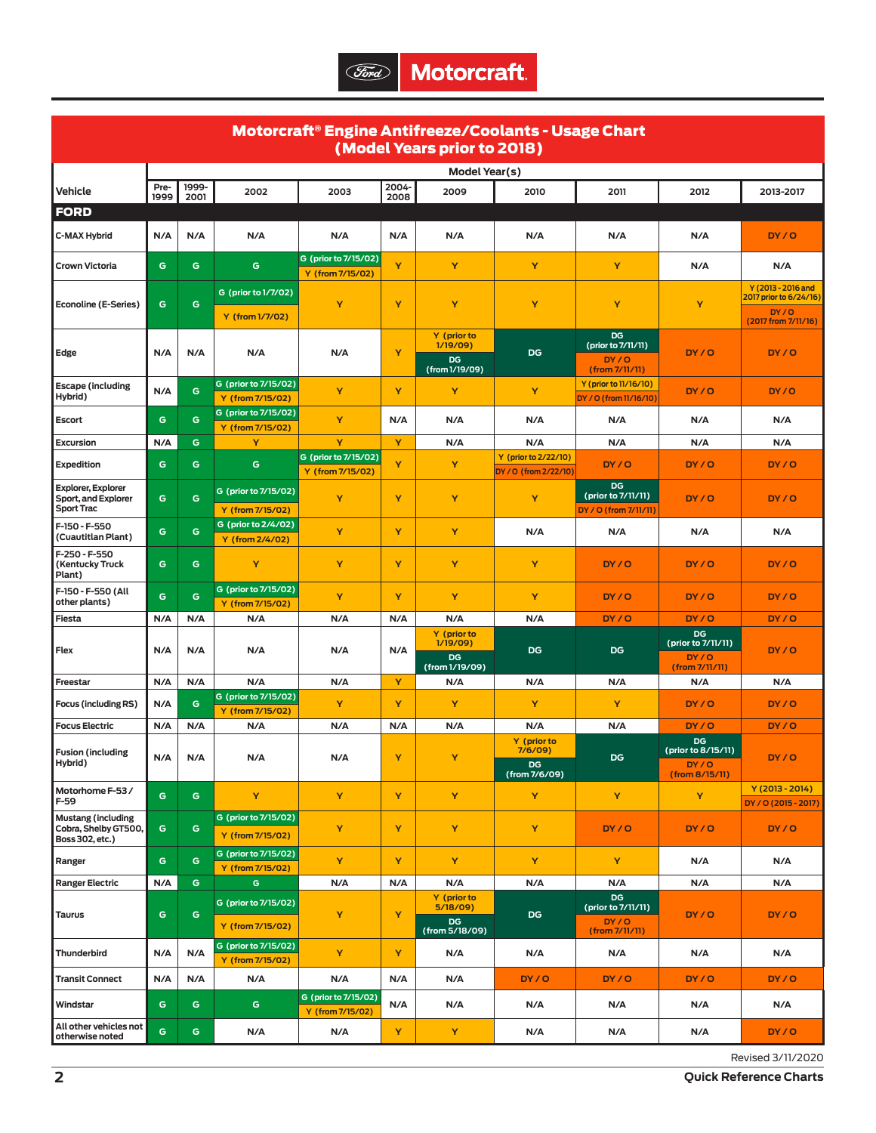| Motorcraft® Engine Antifreeze/Coolants - Usage Chart<br>(Model Years prior to 2018) |              |               |                                          |                                          |               |                                                        |                                               |                                                           |                                                      |                                                                              |
|-------------------------------------------------------------------------------------|--------------|---------------|------------------------------------------|------------------------------------------|---------------|--------------------------------------------------------|-----------------------------------------------|-----------------------------------------------------------|------------------------------------------------------|------------------------------------------------------------------------------|
| Model Year(s)                                                                       |              |               |                                          |                                          |               |                                                        |                                               |                                                           |                                                      |                                                                              |
| Vehicle                                                                             | Pre-<br>1999 | 1999-<br>2001 | 2002                                     | 2003                                     | 2004-<br>2008 | 2009                                                   | 2010                                          | 2011                                                      | 2012                                                 | 2013-2017                                                                    |
| <b>FORD</b>                                                                         |              |               |                                          |                                          |               |                                                        |                                               |                                                           |                                                      |                                                                              |
| <b>C-MAX Hybrid</b>                                                                 | N/A          | N/A           | N/A                                      | N/A                                      | N/A           | N/A                                                    | N/A                                           | N/A                                                       | N/A                                                  | DY/O                                                                         |
| <b>Crown Victoria</b>                                                               | G            | G             | G                                        | G (prior to 7/15/02)<br>Y (from 7/15/02) | Y             | Y                                                      | Y                                             | Y                                                         | N/A                                                  | N/A                                                                          |
| <b>Econoline (E-Series)</b>                                                         | G            | G             | G (prior to 1/7/02)<br>Y (from 1/7/02)   | Y                                        | Y             | Y                                                      | Y                                             | Y                                                         | Y                                                    | $Y(2013 - 2016$ and<br>2017 prior to 6/24/16)<br>DY/O<br>(2017 from 7/11/16) |
| Edge                                                                                | N/A          | N/A           | N/A                                      | N/A                                      | Y             | Y (prior to<br>1/19/09)<br><b>DG</b><br>(from 1/19/09) | DG                                            | DG<br>(prior to 7/11/11)<br>DY/O<br>(from 7/11/11)        | DY/O                                                 | DY/O                                                                         |
| <b>Escape</b> (including<br>Hybrid)                                                 | N/A          | G             | G (prior to 7/15/02)<br>Y (from 7/15/02) | Y                                        | Y             | Y                                                      | Y                                             | Y (prior to 11/16/10)<br>DY / O (from 11/16/10)           | DY/O                                                 | DY/0                                                                         |
| <b>Escort</b>                                                                       | G            | G             | G (prior to 7/15/02)<br>Y (from 7/15/02) | Y                                        | N/A           | N/A                                                    | N/A                                           | N/A                                                       | N/A                                                  | N/A                                                                          |
| Excursion                                                                           | N/A          | G             | Y                                        | Y                                        | Y             | N/A                                                    | N/A                                           | N/A                                                       | N/A                                                  | N/A                                                                          |
| <b>Expedition</b>                                                                   | G            | G             | G                                        | G (prior to 7/15/02)<br>Y (from 7/15/02) | Y             | Y                                                      | Y (prior to 2/22/10)<br>DY / O (from 2/22/10) | DY/O                                                      | DY/0                                                 | DY/O                                                                         |
| <b>Explorer, Explorer</b><br>Sport, and Explorer<br><b>Sport Trac</b>               | G            | G             | G (prior to 7/15/02)<br>Y (from 7/15/02) | Y                                        | Y             | Y                                                      | Y                                             | <b>DG</b><br>(prior to 7/11/11)<br>DY / O (from 7/11/11)  | DY/O                                                 | DY/O                                                                         |
| F-150 - F-550<br>(Cuautitlan Plant)                                                 | G            | G             | G (prior to 2/4/02)<br>Y (from 2/4/02)   | Y                                        | Y             | Y                                                      | N/A                                           | N/A                                                       | N/A                                                  | N/A                                                                          |
| F-250 - F-550<br>(Kentucky Truck<br>Plant)                                          | G            | G             | Y                                        | Y                                        | Y             | Y                                                      | Y                                             | DY/O                                                      | DY/O                                                 | DY/O                                                                         |
| F-150 - F-550 (All<br>other plants)                                                 | G            | G             | G (prior to 7/15/02)<br>Y (from 7/15/02) | Y                                        | Y             | Y                                                      | Y                                             | DY/O                                                      | DY/O                                                 | DY/O                                                                         |
| Fiesta                                                                              | N/A          | N/A           | N/A                                      | N/A                                      | N/A           | N/A                                                    | N/A                                           | DY/O                                                      | DY/O                                                 | DY/0                                                                         |
| Flex                                                                                | N/A          | N/A           | N/A                                      | N/A                                      | N/A           | Y (prior to<br>1/19/09)<br><b>DG</b><br>(from 1/19/09) | DG                                            | DG                                                        | DG<br>(prior to 7/11/11)<br>DY / O<br>(from 7/11/11) | DY/O                                                                         |
| Freestar                                                                            | N/A          | N/A           | N/A                                      | N/A                                      | Y             | N/A                                                    | N/A                                           | N/A                                                       | N/A                                                  | N/A                                                                          |
| <b>Focus (including RS)</b>                                                         | N/A          | G             | G (prior to 7/15/02)<br>Y (from 7/15/02) | Y                                        | Y             | Y                                                      | Y                                             | Y                                                         | DY/O                                                 | DY/O                                                                         |
| <b>Focus Electric</b>                                                               | N/A          | N/A           | N/A                                      | N/A                                      | N/A           | N/A                                                    | N/A                                           | N/A                                                       | DY/O                                                 | DY/0                                                                         |
| <b>Fusion (including</b><br>Hybrid)                                                 | N/A          | N/A           | N/A                                      | N/A                                      | Y.            | Y.                                                     | Y (prior to<br>7/6/09)<br>DG<br>(from 7/6/09) | DG                                                        | DG<br>(prior to 8/15/11)<br>DY/O<br>(from 8/15/11)   | DY/O                                                                         |
| Motorhome F-53/<br>F-59                                                             | G            | G             | Y                                        | Y                                        | Y             | Y                                                      | Y                                             | Y                                                         | Y                                                    | $Y(2013 - 2014)$<br>DY / O (2015 - 2017)                                     |
| <b>Mustang (including</b><br>Cobra, Shelby GT500,<br>Boss 302, etc.)                | G            | G             | G (prior to 7/15/02)<br>Y (from 7/15/02) | Y                                        | Y             | Y                                                      | Y                                             | DY/O                                                      | DY/O                                                 | DY/O                                                                         |
| Ranger                                                                              | G            | G             | G (prior to 7/15/02)<br>Y (from 7/15/02) | Y                                        | Y             | Y                                                      | Y                                             | Y                                                         | N/A                                                  | N/A                                                                          |
| <b>Ranger Electric</b>                                                              | N/A          | G.            | G.                                       | N/A                                      | N/A           | N/A                                                    | N/A                                           | N/A                                                       | N/A                                                  | N/A                                                                          |
| <b>Taurus</b>                                                                       | G            | G             | G (prior to 7/15/02)<br>Y (from 7/15/02) | Y                                        | Y             | Y (prior to<br>5/18/09<br>DG<br>(from 5/18/09)         | DG                                            | <b>DG</b><br>(prior to 7/11/11)<br>DY/O<br>(from 7/11/11) | DY/O                                                 | DY/O                                                                         |
| Thunderbird                                                                         | N/A          | N/A           | G (prior to 7/15/02)<br>Y (from 7/15/02) | Y                                        | Y             | N/A                                                    | N/A                                           | N/A                                                       | N/A                                                  | N/A                                                                          |
| <b>Transit Connect</b>                                                              | N/A          | N/A           | N/A                                      | N/A                                      | N/A           | N/A                                                    | DY/O                                          | DY/O                                                      | DY/O                                                 | DY/O                                                                         |
| Windstar                                                                            | G            | G             | G                                        | G (prior to 7/15/02)<br>Y (from 7/15/02) | N/A           | N/A                                                    | N/A                                           | N/A                                                       | N/A                                                  | N/A                                                                          |
| All other vehicles not<br>otherwise noted                                           | G            | G             | N/A                                      | N/A                                      | Υ             | Y                                                      | N/A                                           | N/A                                                       | N/A                                                  | DY/O                                                                         |

Revised 3/11/2020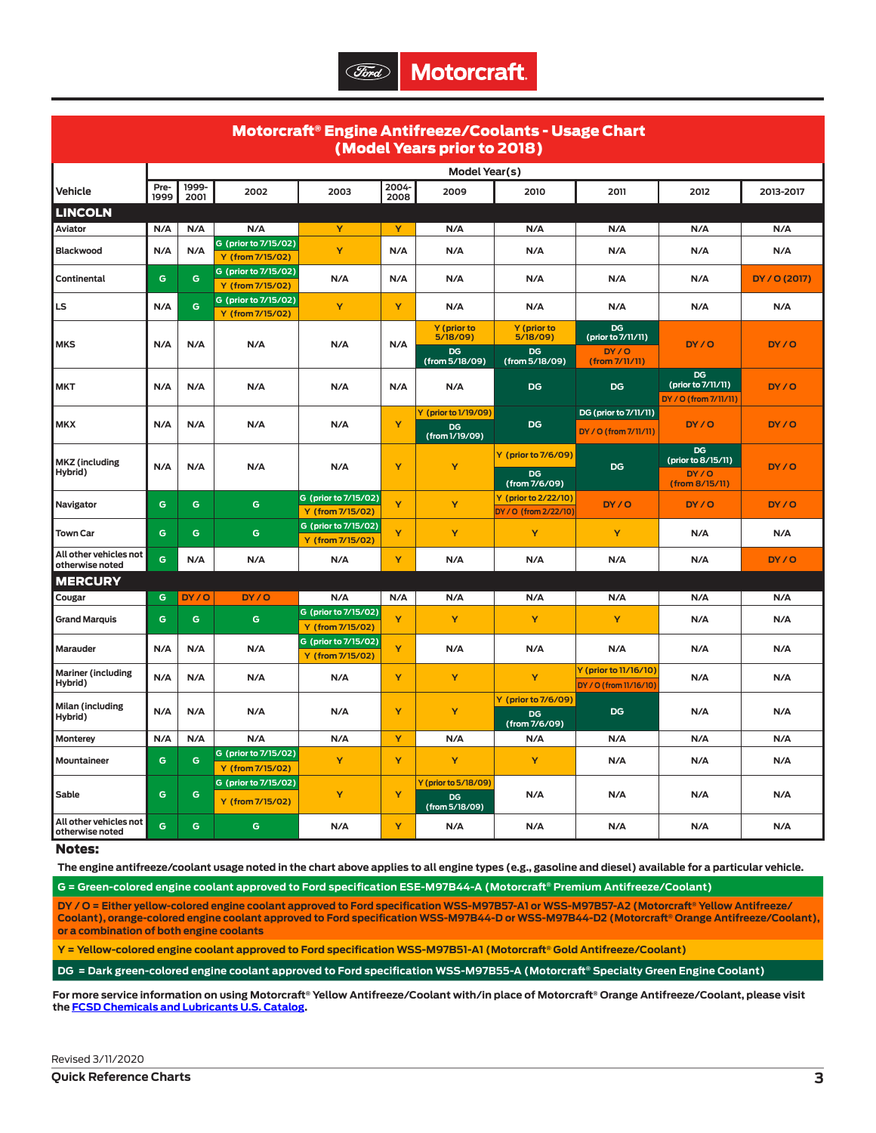| Motorcraft® Engine Antifreeze/Coolants - Usage Chart<br>(Model Years prior to 2018) |               |               |                                          |                                          |               |                                                     |                                               |                                                 |                                                           |               |
|-------------------------------------------------------------------------------------|---------------|---------------|------------------------------------------|------------------------------------------|---------------|-----------------------------------------------------|-----------------------------------------------|-------------------------------------------------|-----------------------------------------------------------|---------------|
|                                                                                     | Model Year(s) |               |                                          |                                          |               |                                                     |                                               |                                                 |                                                           |               |
| Vehicle                                                                             | Pre-<br>1999  | 1999-<br>2001 | 2002                                     | 2003                                     | 2004-<br>2008 | 2009                                                | 2010                                          | 2011                                            | 2012                                                      | 2013-2017     |
| <b>LINCOLN</b>                                                                      |               |               |                                          |                                          |               |                                                     |                                               |                                                 |                                                           |               |
| Aviator                                                                             | N/A           | N/A           | N/A                                      | Y                                        | Y             | N/A                                                 | N/A                                           | N/A                                             | N/A                                                       | N/A           |
| <b>Blackwood</b>                                                                    | N/A           | N/A           | G (prior to 7/15/02)<br>Y (from 7/15/02) | Y                                        | N/A           | N/A                                                 | N/A                                           | N/A                                             | N/A                                                       | N/A           |
| Continental                                                                         | G             | G             | G (prior to 7/15/02)<br>Y (from 7/15/02) | N/A                                      | N/A           | N/A                                                 | N/A                                           | N/A                                             | N/A                                                       | DY / O (2017) |
| LS                                                                                  | N/A           | G             | G (prior to 7/15/02)<br>Y (from 7/15/02) | Y                                        | Y             | N/A                                                 | N/A                                           | N/A                                             | N/A                                                       | N/A           |
| <b>MKS</b>                                                                          | N/A           | N/A           |                                          |                                          | N/A           | Y (prior to<br>5/18/09)                             | Y (prior to<br>5/18/09)                       | DG<br>(prior to 7/11/11)                        | DY/O                                                      |               |
|                                                                                     |               |               | N/A                                      | N/A                                      |               | DG<br>(from 5/18/09)                                | <b>DG</b><br>(from 5/18/09)                   | DY/O<br>(from 7/11/11)                          |                                                           | DY/O          |
| <b>MKT</b>                                                                          | N/A           | N/A           | N/A                                      | N/A                                      | N/A           | N/A                                                 | <b>DG</b>                                     | <b>DG</b>                                       | <b>DG</b><br>(prior to 7/11/11)<br>DY / O (from 7/11/11)  | DY/O          |
|                                                                                     |               |               |                                          |                                          |               | Y (prior to 1/19/09)                                |                                               | DG (prior to 7/11/11)                           |                                                           |               |
| <b>MKX</b>                                                                          | N/A           | N/A           | N/A                                      | N/A                                      | Ÿ             | <b>DG</b><br>(from 1/19/09)                         | DG                                            | DY / O (from 7/11/11)                           | DY/O                                                      | DY/O          |
| <b>MKZ</b> (including<br>Hybrid)                                                    | N/A           | N/A           | N/A                                      | N/A                                      | Y             | Y                                                   | Y (prior to 7/6/09)<br>DG<br>(from 7/6/09)    | <b>DG</b>                                       | <b>DG</b><br>(prior to 8/15/11)<br>DY/O<br>(from 8/15/11) | DY/O          |
| Navigator                                                                           | G             | G             | G                                        | G (prior to 7/15/02)<br>Y (from 7/15/02) | Ÿ             | Y                                                   | Y (prior to 2/22/10)<br>DY / O (from 2/22/10) | DY/O                                            | DY/O                                                      | DY/O          |
| <b>Town Car</b>                                                                     | G             | G             | G                                        | G (prior to 7/15/02)<br>Y (from 7/15/02) | Ÿ             | Y                                                   | Y                                             | Y                                               | N/A                                                       | N/A           |
| All other vehicles not<br>otherwise noted                                           | G             | N/A           | N/A                                      | $\mathsf{N}/\mathsf{A}$                  | Y             | N/A                                                 | N/A                                           | N/A                                             | N/A                                                       | DY/O          |
| <b>MERCURY</b>                                                                      |               |               |                                          |                                          |               |                                                     |                                               |                                                 |                                                           |               |
| Cougar                                                                              | G             | DY/O          | DY/O                                     | N/A                                      | N/A           | N/A                                                 | N/A                                           | N/A                                             | N/A                                                       | N/A           |
| <b>Grand Marquis</b>                                                                | G             | G             | G                                        | G (prior to 7/15/02)<br>Y (from 7/15/02) | Ÿ             | Y                                                   | Y                                             | Y                                               | N/A                                                       | N/A           |
| Marauder                                                                            | N/A           | N/A           | N/A                                      | G (prior to 7/15/02)<br>Y (from 7/15/02) | Ÿ             | N/A                                                 | N/A                                           | N/A                                             | N/A                                                       | N/A           |
| <b>Mariner (including</b><br>Hybrid)                                                | N/A           | N/A           | N/A                                      | N/A                                      | Y             | Y                                                   | Y                                             | Y (prior to 11/16/10)<br>DY / O (from 11/16/10) | N/A                                                       | N/A           |
| Milan (including<br>Hybrid)                                                         | N/A           | N/A           | N/A                                      | N/A                                      | Y             | Y                                                   | Y (prior to 7/6/09)<br>DG<br>(from 7/6/09)    | DG                                              | N/A                                                       | N/A           |
| Monterey                                                                            | N/A           | N/A           | N/A                                      | N/A                                      | Y             | N/A                                                 | N/A                                           | N/A                                             | N/A                                                       | N/A           |
| Mountaineer                                                                         | G             | G             | G (prior to 7/15/02)<br>Y (from 7/15/02) | Y                                        | Y             | Y                                                   | Y                                             | N/A                                             | N/A                                                       | N/A           |
| Sable                                                                               | G             | G             | G (prior to 7/15/02)<br>Y (from 7/15/02) | Y                                        | Y             | Y (prior to 5/18/09)<br><b>DG</b><br>(from 5/18/09) | N/A                                           | N/A                                             | N/A                                                       | N/A           |
| All other vehicles not<br>otherwise noted                                           | G             | G             | G                                        | N/A                                      | Y             | N/A                                                 | N/A                                           | N/A                                             | N/A                                                       | N/A           |

## Notes:

**The engine antifreeze/coolant usage noted in the chart above applies to all engine types (e.g., gasoline and diesel) available for a particular vehicle.**

**G = Green-colored engine coolant approved to Ford specification ESE-M97B44-A (Motorcraft® Premium Antifreeze/Coolant)**

**DY / O = Either yellow-colored engine coolant approved to Ford specification WSS-M97B57-A1 or WSS-M97B57-A2 (Motorcraft® Yellow Antifreeze/** Coolant), orange-colored engine coolant approved to Ford specification WSS-M97B44-D or WSS-M97B44-D2 (Motorcraft® Orange Antifreeze/Coolant), **or a combination of both engine coolants**

**Y = Yellow-colored engine coolant approved to Ford specification WSS-M97B51-A1 (Motorcraft® Gold Antifreeze/Coolant)**

**DG = Dark green-colored engine coolant approved to Ford specification WSS-M97B55-A (Motorcraft® Specialty Green Engine Coolant)**

**For more service information on using Motorcraft® Yellow Antifreeze/Coolant with/in place of Motorcraft® Orange Antifreeze/Coolant, please visit the [FCSD Chemicals and Lubricants U.S. Catalog.](https://www.fcsdchemicalsandlubricants.com/)**